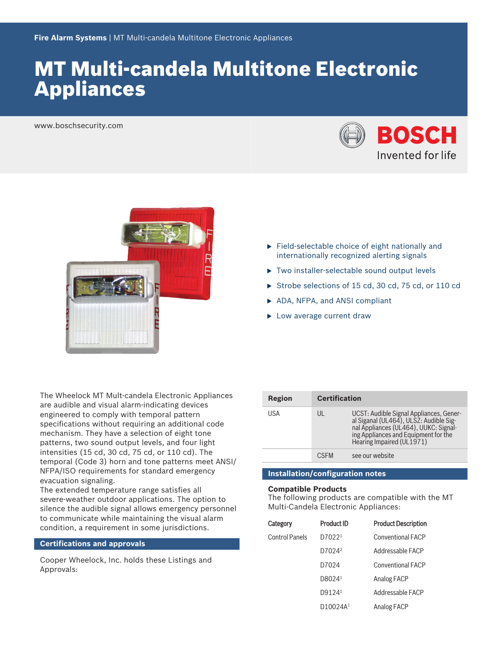# **MT Multi-candela Multitone Electronic** Appliances

www.boschsecurity.com





The Wheelock MT Mult-candela Electronic Appliances are audible and visual alarm‑indicating devices engineered to comply with temporal pattern specifications without requiring an additional code mechanism. They have a selection of eight tone patterns, two sound output levels, and four light intensities (15 cd, 30 cd, 75 cd, or 110 cd). The temporal (Code 3) horn and tone patterns meet ANSI/ NFPA/ISO requirements for standard emergency evacuation signaling.

The extended temperature range satisfies all severe‑weather outdoor applications. The option to silence the audible signal allows emergency personnel to communicate while maintaining the visual alarm condition, a requirement in some jurisdictions.

# **Certifications and approvals**

Cooper Wheelock, Inc. holds these Listings and Approvals:

- $\blacktriangleright$  Field-selectable choice of eight nationally and internationally recognized alerting signals
- $\triangleright$  Two installer-selectable sound output levels
- Strobe selections of 15 cd, 30 cd, 75 cd, or 110 cd
- ▶ ADA, NFPA, and ANSI compliant
- $\blacktriangleright$  Low average current draw

| Region | <b>Certification</b> |                                                                                                                                                                                                 |
|--------|----------------------|-------------------------------------------------------------------------------------------------------------------------------------------------------------------------------------------------|
| USA    | UL                   | UCST: Audible Signal Appliances, Gener-<br>al Siganal (UL464), ULSZ: Audible Sig-<br>nal Appliances (UL464), UUKC: Signal-<br>ing Appliances and Equipment for the<br>Hearing Impaired (UL1971) |
|        | <b>CSEM</b>          | see our website                                                                                                                                                                                 |

#### **Installation/configuration notes**

#### **Compatible Products**

The following products are compatible with the MT Multi‑Candela Electronic Appliances:

| Category              | <b>Product ID</b>    | <b>Product Description</b> |
|-----------------------|----------------------|----------------------------|
| <b>Control Panels</b> | D70221               | <b>Conventional FACP</b>   |
|                       | D7024 <sup>2</sup>   | Addressable FACP           |
|                       | D7024                | <b>Conventional FACP</b>   |
|                       | D80241               | Analog FACP                |
|                       | D9124 <sup>1</sup>   | Addressable FACP           |
|                       | D10024A <sup>1</sup> | Analog FACP                |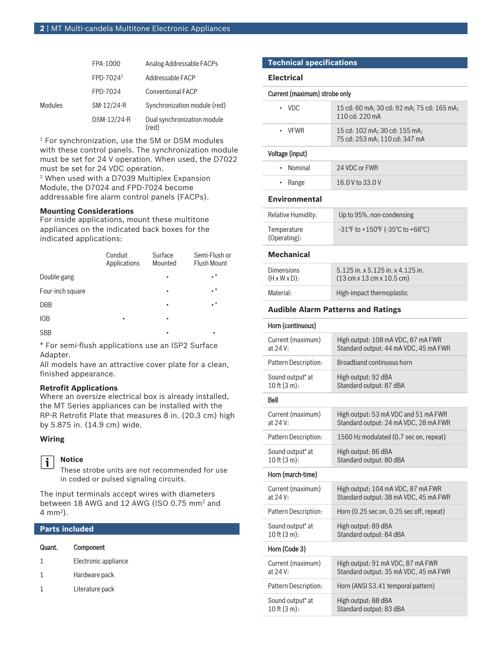|         | FPA-1000              | Analog Addressable FACPs             |
|---------|-----------------------|--------------------------------------|
|         | FPD-7024 <sup>2</sup> | Addressable FACP                     |
|         | FPD-7024              | <b>Conventional FACP</b>             |
| Modules | SM-12/24-R            | Synchronization module (red)         |
|         | DSM-12/24-R           | Dual synchronization module<br>(red) |

1 For synchronization, use the SM or DSM modules with these control panels. The synchronization module must be set for 24 V operation. When used, the D7022 must be set for 24 VDC operation.

2 When used with a D7039 Multiplex Expansion Module, the D7024 and FPD-7024 become addressable fire alarm control panels (FACPs).

#### **Mounting Considerations**

For inside applications, mount these multitone appliances on the indicated back boxes for the indicated applications:

|                  | Conduit<br>Applications | Surface<br>Mounted | Semi-Flush or<br>Flush Mount |
|------------------|-------------------------|--------------------|------------------------------|
| Double-gang      |                         | ٠                  | $\cdot^*$                    |
| Four-inch square |                         | ٠                  | $\cdot^*$                    |
| <b>DBB</b>       |                         | ٠                  | $\cdot^*$                    |
| <b>IOB</b>       | ٠                       | ٠                  |                              |
| <b>SBB</b>       |                         |                    |                              |

\* For semi‑flush applications use an ISP2 Surface Adapter.

All models have an attractive cover plate for a clean, finished appearance.

#### **Retrofit Applications**

Where an oversize electrical box is already installed, the MT Series appliances can be installed with the RP‑R Retrofit Plate that measures 8 in. (20.3 cm) high by 5.875 in. (14.9 cm) wide.

# **Wiring**



# **Notice**

These strobe units are not recommended for use in coded or pulsed signaling circuits.

The input terminals accept wires with diameters between 18 AWG and 12 AWG (ISO 0.75 mm<sup>2</sup> and 4 mm<sup>2</sup> ).

#### **Parts included**

| Quant. | Component            |
|--------|----------------------|
| 1      | Electronic appliance |
| 1      | Hardware pack        |
|        | Literature pack      |
|        |                      |

#### **Technical specifications**

#### **Electrical**

#### Current (maximum) strobe only

| $\cdot$ VDC. | 15 cd: 60 mA; 30 cd: 92 mA; 75 cd: 165 mA;<br>110 cd: 220 mA   |
|--------------|----------------------------------------------------------------|
| • VFWR       | 15 cd: 102 mA: 30 cd: 155 mA:<br>75 cd: 253 mA; 110 cd: 347 mA |

#### Voltage (input)

| • Nominal     | 24 VDC or FWR    |
|---------------|------------------|
| $\cdot$ Range | 16.0 V to 33.0 V |
|               |                  |

#### **Environmental**

| <b>Relative Humidity:</b>   | Up to 95%, non-condensing                                                 |
|-----------------------------|---------------------------------------------------------------------------|
| Temperature<br>(Operating): | $-31^{\circ}$ F to $+150^{\circ}$ F ( $-35^{\circ}$ C to $+66^{\circ}$ C) |

#### **Mechanical**

| <b>Dimensions</b><br>$(H \times W \times D)$ : | $5.125$ in. x $5.125$ in. x $4.125$ in.<br>$(13 \text{ cm} \times 13 \text{ cm} \times 10.5 \text{ cm})$ |
|------------------------------------------------|----------------------------------------------------------------------------------------------------------|
| Material:                                      | High-impact thermoplastic                                                                                |
|                                                |                                                                                                          |

#### **Audible Alarm Patterns and Ratings**

#### Horn (continuous)

| Current (maximum)<br>at 24 V:                   | High output: 108 mA VDC, 87 mA FWR<br>Standard output: 44 mA VDC, 45 mA FWR   |
|-------------------------------------------------|-------------------------------------------------------------------------------|
| Pattern Description:                            | Broadband continuous horn                                                     |
| Sound output <sup>*</sup> at<br>10 ft (3 m):    | High output: 92 dBA<br>Standard output: 87 dBA                                |
| Bell                                            |                                                                               |
| Current (maximum)<br>at 24 V:                   | High output: 53 mA VDC and 51 mA FWR<br>Standard output: 24 mA VDC, 28 mA FWR |
| Pattern Description:                            | 1560 Hz modulated (0.7 sec on, repeat)                                        |
| Sound output <sup>*</sup> at<br>10 ft $(3 m)$ : | High output: 86 dBA<br>Standard output: 80 dBA                                |
| Horn (march-time)                               |                                                                               |
| Current (maximum)<br>at 24 V:                   | High output: 104 mA VDC, 87 mA FWR<br>Standard output: 38 mA VDC, 45 mA FWR   |
| Pattern Description:                            | Horn $(0.25 \text{ sec on}, 0.25 \text{ sec off}, \text{repeat})$             |
| Sound output* at<br>$10$ ft $(3 m)$ :           | High output: 89 dBA<br>Standard output: 84 dBA                                |
| Horn (Code 3)                                   |                                                                               |
| Current (maximum)<br>at 24 V:                   | High output: 91 mA VDC, 87 mA FWR<br>Standard output: 35 mA VDC, 45 mA FWR    |
| Pattern Description:                            | Horn (ANSI S3.41 temporal pattern)                                            |
| Sound output* at<br>$10$ ft $(3 m)$ :           | High output: 88 dBA<br>Standard output: 83 dBA                                |
|                                                 |                                                                               |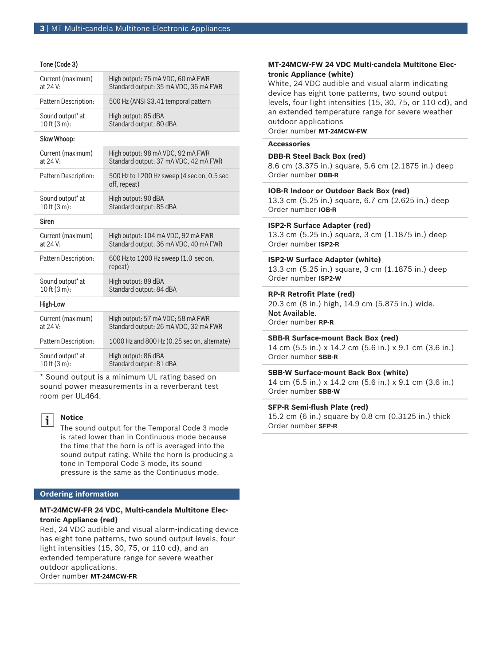|  | Tone (Code 3) |  |
|--|---------------|--|
|--|---------------|--|

| Current (maximum)    | High output: 75 mA VDC, 60 mA FWR                          |
|----------------------|------------------------------------------------------------|
| at 24 V:             | Standard output: 35 mA VDC, 36 mA FWR                      |
| Pattern Description: | 500 Hz (ANSI S3.41 temporal pattern                        |
| Sound output* at     | High output: 85 dBA                                        |
| $10$ ft $(3 m)$ :    | Standard output: 80 dBA                                    |
| Slow Whoop:          |                                                            |
| Current (maximum)    | High output: 98 mA VDC, 92 mA FWR                          |
| at 24 V:             | Standard output: 37 mA VDC, 42 mA FWR                      |
| Pattern Description: | 500 Hz to 1200 Hz sweep (4 sec on, 0.5 sec<br>off, repeat) |
| Sound output* at     | High output: 90 dBA                                        |
| 10 ft $(3 m)$ :      | Standard output: 85 dBA                                    |
| <b>Siren</b>         |                                                            |
| Current (maximum)    | High output: 104 mA VDC, 92 mA FWR                         |
| at 24 V:             | Standard output: 36 mA VDC, 40 mA FWR                      |
| Pattern Description: | 600 Hz to 1200 Hz sweep (1.0 sec on,<br>repeat)            |
| Sound output* at     | High output: 89 dBA                                        |
| $10$ ft $(3 m)$ :    | Standard output: 84 dBA                                    |
| High-Low             |                                                            |
| Current (maximum)    | High output: 57 mA VDC; 58 mA FWR                          |
| at 24 V:             | Standard output: 26 mA VDC, 32 mA FWR                      |
| Pattern Description: | 1000 Hz and 800 Hz (0.25 sec on, alternate)                |
| Sound output* at     | High output: 86 dBA                                        |
| $10$ ft $(3 m)$ :    | Standard output: 81 dBA                                    |

\* Sound output is a minimum UL rating based on sound power measurements in a reverberant test room per UL464.

# $\mathbf i$

**Notice**

The sound output for the Temporal Code 3 mode is rated lower than in Continuous mode because the time that the horn is off is averaged into the sound output rating. While the horn is producing a tone in Temporal Code 3 mode, its sound pressure is the same as the Continuous mode.

# **Ordering information**

# **MT‑24MCW‑FR 24 VDC, Multi‑candela Multitone Electronic Appliance (red)**

Red, 24 VDC audible and visual alarm‑indicating device has eight tone patterns, two sound output levels, four light intensities (15, 30, 75, or 110 cd), and an extended temperature range for severe weather outdoor applications. Order number **MT-24MCW-FR**

# **MT‑24MCW‑FW 24 VDC Multi‑candela Multitone Electronic Appliance (white)**

White, 24 VDC audible and visual alarm indicating device has eight tone patterns, two sound output levels, four light intensities (15, 30, 75, or 110 cd), and an extended temperature range for severe weather outdoor applications Order number **MT-24MCW-FW**

#### **Accessories**

#### **DBB‑R Steel Back Box (red)**

8.6 cm (3.375 in.) square, 5.6 cm (2.1875 in.) deep Order number **DBB-R**

#### **IOB‑R Indoor or Outdoor Back Box (red)**

13.3 cm (5.25 in.) square, 6.7 cm (2.625 in.) deep Order number **IOB-R**

# **ISP2‑R Surface Adapter (red)**

13.3 cm (5.25 in.) square, 3 cm (1.1875 in.) deep Order number **ISP2-R**

# **ISP2‑W Surface Adapter (white)**

13.3 cm (5.25 in.) square, 3 cm (1.1875 in.) deep Order number **ISP2-W**

#### **RP‑R Retrofit Plate (red)**

20.3 cm (8 in.) high, 14.9 cm (5.875 in.) wide. Not Available. Order number **RP-R**

# **SBB‑R Surface‑mount Back Box (red)**

14 cm (5.5 in.) x 14.2 cm (5.6 in.) x 9.1 cm (3.6 in.) Order number **SBB-R**

# **SBB‑W Surface‑mount Back Box (white)**

14 cm (5.5 in.) x 14.2 cm (5.6 in.) x 9.1 cm (3.6 in.) Order number **SBB-W**

# **SFP‑R Semi‑flush Plate (red)**

15.2 cm (6 in.) square by 0.8 cm (0.3125 in.) thick Order number **SFP-R**